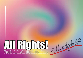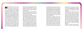up and the guiding principles for how to navigate in society we need to address the effects of alcohol in Europe on especially vulnerable people.

Therefore we put forward this booklet to show and explain the reality of children and young people in Europe and the role alcohol plays in their every day lives.

Human dignity and universality are the two key concepts that shine in every single ar ticle of the Universal Declaration of Human rights. Human rights define the basic stan dards necessary for human beings to live in dignity. And in this sense all human beings, no matter the age, the origin, the eye co lour and the intellectual or economic capa cities, are equally entitled to live in dignity. The vision painted by Human rights stands in conflict with the reality. Europe is the hea viest drinking region in the world. Almost

Human rights are like armour:<br>
they protect you; they are like<br>
up and the guiding principles for how to Human rights are like armour: they protect you; they are like rules, because they tell you how you can behave; and they are like judges, because you can appeal to them." With the se words the "Compass – Manual on Human Rights Education with Young People", pu blished by the Council of Europe, starts the chapter about understanding Human Rights. While we teach young Europeans the virtues of Human Rights and their implications, the every day reality of the same young people is that the armour is being damaged, so metimes ripped apart; that they are more a box of chocolate where you never know what you get than rules that guide and in form behaviour. Alcohol, its heavy use all over Europe and the related harm on society around, plays a key role in violating Human rights of children and young people. In or der for our common quest to make Human

all social events and activities in Europe are being alcoholised which has lead to tremen dous harm being caused to society. Children and young people are bearing a disproportio nate burden of this harm: for them alcohol is a gateway into other drugs, into criminality, early school drop out, long-term unemploy ment and into apathy. All this amounts to daily Human Rights violations due to alcohol and the related harm.

Young people are especially prone to the influence of the environment around them. Therefore the attitudes of parents, friends, teachers, leisure time leaders and role mo dels towards alcohol do affect their attitu des and behaviours. We call this social he ritage. Unsafe environments, where alcohol and other drugs are present and socially ac cepted, even expected in the case of alco hol, increase the risk for children and young people to start to use drugs. In these kinds of environments young people are at parti cular risk to start drinking and thus expose themselves to the consequences of alcohol consumption.

Like any other drug, alcohol use brings with it a bunch of harm: medical, social, econo mical and democratic. Each and every harm means Human rights violations and together they pose an enormous threat to the funda mental values at the heart of the idea of Hu man rights: human dignity and universality. These core values entail several other values that make Human rights and their applica tion in every day life more understandable. But they also help to clearly identify Human rights violations in daily life of European youngsters.

Freedom is one of them, "because the hu man will is an important part of human dig -

#### Introduction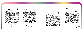nity. To be forced to do something against our will demeans the human spirit."

Respect for others is a second value, "be cause a lack of respect for someone fails to appreciate their individuality and essential dignity."

Tolerance is yet another value derived from the core value of human dignity, "because intolerance indicates a lack of respect for difference; and equality does not signify identity or uniformity."

It's not surprising that in this context we point to the well-known fact that alcohol is a drug and thus creates experiences that the user wants to feel again and therefore leads to mental addiction. The other part of the addiction is the complex physical effects of

And for this purpose the last but not least one is responsibility, "because respecting the rights of others entails responsibility for one's actions."

the drug. When the addiction both mentally and physically has made the human being more or less powerless, alcohol will steer the life of the user. Obviously alcohol is a threat to the value of freedom we just men tioned. That in Europe 43% of 15 - 16 year old students report heavy episodic drinking during the recent month is both a threat to their freedom and to the freedom of oth er people, especially young people around them. The earlier one starts to drink, the higher is the risk of becoming addicted. Respect for other choices that do not con form to the alcohol culture is largely lacking in Europe and limits the individuality and essential dignity of young people. In Europe today, due to the alcoholization of all so cial events and activities and due to everpresent alcohol marketing, the dignity, the individuality and the sacredness of children and young people growing up in alcohol free

We made this booklet in order to address the Human rights violations children and young people face every day in Europe. It is about raising awareness and building politi cal will to help especially vulnerable groups of Europe's youth, like children of addicted parents. We cannot afford any longer to be blind and deaf to the Human rights violations behind closed doors, around the corner, in our own neighbourhoods and in children's rooms all over Europe because of alcohol.



environments are being violated.

Many young people tell about bullying at school, in their sports clubs and so on be cause of their choice not to drink. The same goes for young workers who just started their professional education and univer sity students. Tolerance is vastly lacking. It should be possible in Europe, as the Human rights tell us, for children and young people to choose a lifestyle and pursue it to their happiness, free from commercial and socie tal pressure. Unfortunately it is not.

Alcohol is the most harmful drug, especially because of the consequences for others than the drinker him- or herself. This is a fact commonly known and recently proved. In a very recent speech given in November 2010, Mr Paola Testori Coggi, the Director-General for Public Health of the European Commissi on addressed this issue very clearly and said

that the social impact of alcohol had to be taken into serious consideration.

Nearly 25% of 15-year olds live with alcohol addicted parents in Europe, Ms Testori Coggi said. This group of children and young pe ople is especially vulnerable to the harm in alcohol.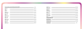#### Content

|                                          | $R - Q$ |
|------------------------------------------|---------|
| 6003                                     |         |
| $\overline{3}$                           |         |
| end 76,3                                 |         |
|                                          |         |
|                                          |         |
| 111 27,3<br>111 22<br>111 23,3<br>111 24 |         |
|                                          |         |
|                                          |         |
| $\frac{1}{100}$ 25, 7                    |         |

 $11125,2$ \_\_\_\_\_\_\_\_\_\_\_\_\_\_\_\_\_\_\_\_\_\_\_\_\_\_\_\_\_\_\_\_\_\_\_\_\_  $61126,1$ 11126,2  $\epsilon$ m 27,1  $\frac{1}{2}$   $\frac{2}{3}$  $\Box$  29,2 **Children's digital Final word** References Thenkyou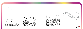

#### Convention on the Rights of Child

Discussing Human Rights violations and thre ats caused by alcohol consumption and the European alcohol culture from a youth per spective must take its starting point in The Convention on the Rights of the Child (CRC) for it is the first international instrument that recognizes children as social actors and active holders of their own rights.

The CRC incorporates the full range of hu man rights – civil, political, economic, so cial and cultural rights – of children into one single document. That's its strength and profoundness.

The importance of Human Rights for child ren is mirrored in the fact that every coun try in the world has ratified the CRC (ex cept of two). In this regard it's important to understand that all countries whose parlia -

ments have ratified the CRC are bound by it. The CRC outlines in 41 articles the human rights to be respected and protected for every person under 18 years of age. When we in the booklet use the word "child" or "children" we're following this underlying definition.

The CRC provides measures for how to en sure the respect and the protection of the rights of children and young people. It, for example, contains "special protection mea sures" whose ambition is to eradicate the most dreadful situations that children and young people can end up in: sexual exploita tion and abuse, economical exploitation, drugs, street children.

The purpose of the CRC is to legislate on rights for children on the basis of their spe cial needs and vulnerability. Analyzing the harms and threats alcohol use and the alco -

hol culture in European societies create, we realize that there is a vast lack of legislation that could do much more to protect children – from the dreadful situations the "special protection measures" address.

The CRC contains an important principle that has the potential – when applied by policy and decision makers – to relieve the current situation of rights violations faced by young Europeans: the Best Interest of the Child, ar ticle 3.

The Best Interest principle shall be conside red across the board in decision making. Since all European countries ratified the CRC, they are compelled to take a child cen tered approach whenever deciding on legis lation or other policies. In contrast to that, the analysis of reality by the following UDHR articles will show how European youth is ex posed to rights violations.

*In all actions concerning children whether undertaken by public or private social welfare institutions, courts of law, administrative authorities or legislative bodies, the best interest o the child shall be a primary consideration.* es, the best merest on.<br>primary consideration.<br>Article 3, The Convention on the Rights of Child "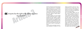# one has the right to life, liberty and se *Everyone has the right to life, liberty and security of person"* "

Alcohol is socially the most harmful drug and much of the alcohol harm in young people happens when they are in or on the way home from drinking environments. So, the mix is explosive since almost all social and cultural events in Europe serve as drinking environments but the most usual ones are bars, pubs, nightclubs, football stadiums, Christmas markets.

In many countries young people's typical alcohol consumption on a night out in a city

The positive freedom to act only according to make self-determined choices is largely diminished and often violated in Europe's drinking environments. The high density of these environments, the singularity of their attractiveness, their opening times and the availability of alcohol in them add up to a harmful mix that threatens and often violates the right to liberty of young people in Europe.

*All right?* One in five European nightlife users had been involved in violence in the last 12 months – which means that the "right to security of person" in and around drinking environments in Europe is largely threatened and often violated – even for those young people who choose not to drink. Since almost all social and cultural events are drinking environments, it is hard, if not impossible for young people in Europe today to escape alcohol's social harm even if they choose not to drink. The EU programme DAPHNE shows that 95% of Europeans consider alcohol to be a key factor behind violence against women and children.

drinking environment exceed the recommended limits for an entire week. It must be clear to all that in these settings, no matter your own choices, it is impossible to feel free, to act freely and to enjoy the full extent of the right to liberty.

1

0

1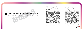

2

1

3

# e shall be subjected to torture or to cr *No one shall be subjected to torture or to cruel, inhuman or degrading treatment or punishment"* "

In Europe there live about 9 Million children and young people in families with at least one alcohol addicted parent. It is among these that we witness the most severe and often most apparent violations of rights. Children who have to endure living with alcohol addicted parents often and repeatedly fall victim to "cruel, inhuman or degrading treatment or punishment."

Life in a family with alcohol addicted parents is dominated by conflicts and unpredictability. The children and young people understand that their own family doesn't function like other families. Often they develop feelings of shame and blame themselves for their parents' addiction. Many of these children and young people are victims of domestic violence. In Ireland and Iceland 71% of the cases of domestic violence are attributable to alcohol. Alcohol is estimated to be a causal factor in 16% of child abuse

and neglect.

Millions of European children and young people suffer from neglect in an age where they would need shelter and support to find their place in the world. That these children and young people have to clean the vomit of their parents, that they have to witness or to endure violence and abuse is clearly "cruel, inhuman and degrading".

The fact alone that children and young people grow up in families with addicted parents in Europe is a cruel situation: studies from all over Europe have shown that children and young people from alcohol addicted families are much more exposed to other health risks, to negative influences on their intellectual capacities and their mental health. Young people's rights inscribed in article 5 of the UDHR are under attack by alcohol and the European alcohol culture.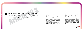

5

1

1 66 The family is the natural and fundamental<br>group unit of society and is entitled to protection<br>by society and the state" *The family is the natural and fundamental group unit of society and is entitled to protection by society and the State"* "

The family's role as a protector of and shelter for children is not questioned by anyone. Everyone agrees that it is at home where a child should feel safe and look forward to come to. Where else if not at home should a child find security, joy and a stimulating environment for the development of its full potential?

Unfortunately the reality is different. In millions of cases it's home where a child returns to alcohol intoxicated parents and it's home where a child has to take over the role of grown-ups and take care of a parent who is intoxicated by alcohol. There are 9 million children in EU living with one or both parents addicted to alcohol.

Children in presence of adults under the influence of alcohol (not necessarily drunk)

feel insecure; they have problems to read adults' emotions and to understand their behavior. It evokes worries and confusion in children's lives. Alcohol consumption of the parents erases the family's most important role - to protect. It tears down the safe shelter and robs the child of the right to grow up in a secure environment. All this has enormous consequences in a child's current and future life. The protection of children and young people exposed to these conditions and environments needs very strong consideration. Besides the crucial role of the state institutions to protect the exposed and vulnerable, it is society's responsibility to protect children and young people from the effects of European alcohol culture.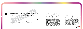

7

1

Sueryone has the right to freedom of opinic<br>and expression; this right includes freedom<br>hotd opinions without interference and to seek, r<br>ceive and impart information and ideas throug<br>media and regardless of frontiers" *Everyone has the right to freedom of opinion and expression; this right includes freedom to hold opinions without interference and to seek, receive and impart information and ideas through media and regardless of frontiers"* "

Freedom of speech, the right to hold opinions without interference and to express these opinions according to one's own choice is a value of such importance for European society that it can challenge even the Best Interest of the Child inscribed in the CRC. Nevertheless, the fact that Europe is dominated by an extreme alcohol culture making Europe the heaviest drinking region in the world, where it's no exception that already 11- and 12-year olds use alcohol, means serious threats for the right of children and young people to hold opinions and express them in self-determined lifestyle choices. Given that young people are especially prone to influences of the environment around them, the threat of the alcohol culture to freedom of speech and expression is serious. In Europe today, it's not an option for young people to choose a lifestyle free from alcohol. The portraying of alcohol in all forms of media, for example, goes beyond the role as information provider. In Europe media plays a significant part in normalizing drug use – through films that clearly target children and young people, TV programmes and glamorising alcohol marketing. These phenomena play an important role in the alcohol culture build by the grown up world. It is this European alcohol culture that limits, threatens and often violates young people's right to choose and follow a lifestyle free from alcohol and other drugs. Opinions, as well as world views and their meaningful expression that don't conform to the current extreme drinking culture are all to often exposed to heavy and continuous interference making it hard for children and young people to choose a different lifestyle.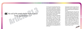

9

1

8

The will of the people shall be the basis of authority of government (...)" *The will of the people shall be the basis of authority of government (...)"* "

That "the will of the people shall be the basis of authority of government" means that Europe's form of government is a democratic one. Democratically elected parliaments from all European countries have ratified the CRC. This means that all European governments have signed up to primarily consider the Best Interest of children whenever deciding on legislation or other policies. Unfortunately, for children and young people and for Europe as a whole, in most of the cases decisions are not made in the child centred approach. This has lead to a situation where young people in Europe today bear a disproportionate burden of alcohol harm, where binge drinking among minors – who by law shouldn't be drinking at all – is ever increasing all over Europe, where alcohol marketing has become highly aggressive targeting children and young people even in their homes.

If governments continue to ignore their own responsibilities taken by signing the CRC, they're on the brink of violating democratically legitimate decisions by national parliaments.

The eurobarometer gives a hint of the will of the people that goes in accordance with the Best Interest of children: 89% of Europeans think that selling and serving alcohol to young people under the age of 18 should be banned; 77% of Europeans support a ban of alcohol advertising targeting young people. Moreover, drunken youngsters are neither active nor empowered citizens of the democratic society. Alcohol violates their capacity to express their will. This aspect of alcohol use needs to be considered when trying to improve European democracy, if article three from the UDHR shall continue to guide European society.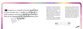0

ryone, as a member of society, has the right<br>security and is entitled to realization (...<br>nomic, social and cultural rights indispen<br>his dignity and the free development of h<br>personality" *Everyone, as a member of society, has the right to social security and is entitled to realization (...) of the economic, social and cultural rights indispen- sable for his dignity and the free development of his personality"* "

2

Europe bursts in seams by the need for support measures for children of alcohol addicted parents but the actual provision of facilities, places and activities for these children is almost equal to vacuum.

States and their communes need to invest more into alcohol free environments and open holiday facilities where children can develop their personality in safe and stimulating environments. These facilities are lacking all over Europe.

mulating environments. These facilities are <br>
lacking all over Europe.<br>
A survey among all Swedish municipalities are alcohol addicted, there is giant need for<br>
A survey among all Swedish municipalities protection of socia their leisure time facilities and activities during holidays like Christmas. When societies in Europe celebrate, they do so with alcohol but they are blind to the needs of vulnerable children and young people. 49% of the municipalities that answered the survey closed all doors during the holiday, with the reason that they didn't "see a need". With 9 Million children and young people in Europe living in homes where parents are alcohol addicted, there is giant need for protection of social and cultural rights.

> *The rights of all men are diminished when the*  diminisment in threatened. The rights of all men are<br>Commished when the

A survey among all Swedish municipalities shows that even in a welfare state like Sweden many municipalities close the doors of



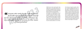

**Z** 

9 2<br>3

2 2

Everyone who works has the right to just and<br>favourable remuneration ensuring for himself<br>is family an existence worthy of human dig-<br>ind supplemented, if necessary, by other means<br>of social protection" *Everyone who works has the right to just and favourable remuneration ensuring for himself and his family an existence worthy of human dignity, and supplemented, if necessary, by other means of social protection"* "

Children do not work, thus they don't earn money. But it's in the Best Interest of the child that the parents get their incomes so the family can fulfill its function and provide good conditions for the child's physical and personal well-being and development. At this point, it is important to zoom on the families with alcohol problems. In these homes the head of the family is alcohol. Alcohol is prioritized in all areas of family life, including the family budget. Therefore children are very often deprived of leisure time activities, cultural and sports events, books or even education materials that a family with alcohol problems can not afford.

All resources are bound by alcohol. Children to alcohol addicted parents have to take adults' responsibilities and feel very often guilty or ashamed for their parents' behavior. These are usually reasons for the children's exclusion from their peer groups and their position on the edges of the social networks. Parental drinking leads to violations of children's dignity. The remuneration ensuring the parents' and their family's existence is spent for alcohol consumption of the parents by which the purpose of this right is not met and the children's existence worthy of human dignity is not ensured.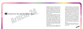2 4 ryone has the right to rest and leisure (...) *Everyone has the right to rest and leisure (...)"* " Meaningful free time activities in safe and enabling environments are crucial for child-

ren and young people to find their place in society, to understand who they are and what they want to do with their lives. Unfortunately this important right is often threatened in at least two ways in the Europe of the 21st century:

We know that children who grow up in families with alcohol addiction don't have time and don't feel they're allowed leisure activities; they're focused on helping at home. These children and young people in very many cases have difficulties to build up close relationships. The absence of communal projects and activities especially for children of addicts in almost all regions of Europe contributes to the violation of their right to leisure and rest.

Furthermore we need to recognize that many cultural events and activities have restricted entry because it's more important to sell alcohol than to open doors for young people. This means that the overall offer of meaningful and safe leisure time activities in Europe is often rather limited due to the current alcohol culture. Where this is true, the principle of article 24 is not met to the extent it should be. It is in many sports clubs all over Europe that young boys start using alcohol. It is in youth clubs all over Europe where alcohol use is an integral part of leisure time activities, not to mention excursions of any kinds. All these examples paint a clear picture: young Europeans cannot enjoy their right to rest and leisure to the extent it would be and should be possible.

Meaningful leisure time activities do not include initiation into Europe's extreme drinking culture.

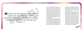7

2

6

Everyone has the right to a standard of living<br>adequate for the health and well-being of<br>If and of his family, including food, clothing,<br>sing and medical care and necessary social<br>services (...)" *Everyone has the right to a standard of living adequate for the health and well-being of himself and of his family, including food, clothing, housing and medical care and necessary social services (...)"* "

Children to alcohol addicted parents grow up in environments that are ruled by insecurity and fear. They often witness or even become victims of violence. Children's and young people's needs are neglected in these families. The financial situation of the family with alcohol problems is endangered by the alcohol use of the parent and thus the natural obligations of parents towards their children's standard of living such as adequate food, clothing and medical care are all too often neglected.

Even children of so called normal alcohol user are negatively affected by parents' drinking. A study from Sweden shows that more than every fourth child and young person has felt discomfort during Christmas because of grown-up's drinking. During holidays and celebrations like Christmas the well-being of

children is clearly compromised for grownups need to use alcohol. Clearly the use of alcohol causes lowered standard of living and well-being in both dysfunctional and functional families.

Alcohol is also a health determinant that violates children's and young people's right to standard of living adequate for well-being before they even had a chance to make their mark on the world. Alcohol e.g. is responsible for 7,4% of disability and premature death in EU. Even low amounts of alcohol consumed by women while pregnant have huge impact on the fetus. The Fetal Alcohol Syndrome is a sad example of mother's drinking that violates the right to standard of living which should enable the physical, mental, spiritual and social development of Europe's children and young people.

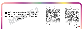2

8

Motherhood and childhood are entitled to special care and assistance. All children, whether<br>n or out of wedlock, shall enjoy the same social<br>protection" *Motherhood and childhood are entitled to spe- cial care and assistance. All children, whether born in or out of wedlock, shall enjoy the same social protection"* "

Social protection of children's and young people's development cannot be overestimated. It means both that the community as a whole sustains norms and rules and that the political system designs regulations which help creating the most stimulating and sheltered environment for children and young people to grow up and develop in.

In Europe children and young people often encounter the lack of safe and enabling environments – instead children and young people are extremely exposed to marketing of the alcohol industry. It's impossible to talk of "social protection" in the spirit of article 25, 2 when alcohol brands are put on baby clothes and on toys. Social protection of the most vulnerable groups of society wouldn't pass any performance test, given the fact that Europe's societies continue to sustain legislation that allows parents to encourage their kids to drink – long before the legal age

limit; societies that do not sanction unacceptable behaviour under the influence of alcohol; societies that expect and often pressure children and young people into using alcohol.

In much the same way the principle of "special care" is being neglected by European communities, who allow communal and municipal facilities and activities for children and young people to be closed over holidays, so that there's no other place to go for children who have alcohol abusing parents at home. There is an overall lack of alcohol free environments in Europe that signifies the need to step up action in the attempt to meet the "special care" principle of article 25, 2. More alcohol free environments mean more enabling and open environments for children and young people and they mean less alcohol harm suffered by youngsters.

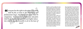1

3

**O** 

Everyone has the right to education. Education<br>shall be free, at least in the elementary and<br>mental stages. Elementary education shall be<br>ilsory. Technical and professional education<br>hall be equally accessible to all on th *Everyone has the right to education. Education shall be free, at least in the elementary and fundamental stages. Elementary education shall be compulsory. Technical and professional education shall be made generally available and higher education shall be equally accessible to all on the basis of merit"* "

Education is crucial for children and young people to develop understanding for society and to find their places in it. It's not only formal education, taking place in schools that should matter in terms of article 26. To ensure that the right to education is met with special regard to the needs of children and young people, it's essential to add the aspect of non-formal education.

Many young people have seen class mates being brought (back) to school by the police. That's how serious society takes the right to education in Europe. Nevertheless we still today lack measures of similar profoundness that solve the problem of truancy and eventual dropout because of alcohol and other drugs. These threats can also be identified in non-formal education when children and young people meet to use nonformal methods to learn from each other. Even these settings are often dominated by alcohol which means that they are excluding certain children and young people who may not feel comfortable in environments of alcohol use and who may wish to make experiences free from alcohol. It means that they, too, play a part in perpetuating the current extreme alcohol culture in Europe. Young people's right to education is under attack by alcohol harm.

Alcohol threatens the right of children and young people to formal education. Frequent alcohol intoxications increase the risk for school dropout. The special threat to the right enshrined in article 26, 1 comes from the drinking reality in Europe. In Germany e.g. between 2000 and 2008 the number of alcohol intoxicated youngsters ending up in emergency rooms increased by 170%. Given that alcohol intoxication predicts school dropout, the threat to the right of formal education in Europe is tremendous.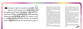celebrations and cultural events are both intentionally and unintentionally presented and depicted in school classes and by too many educators.

Children and young people need to be equipped with knowledge, critical thinking and virtues of healthy lifestyle in order to be able to understand their rights and make conscious decisions regarding their situation. It's important that they are provided with the full picture about alcohol consumption, the glorification of alcohol by those actors who financially profit from heavy consumption. Only if education programs succeed in addressing this issue comprehensively can we say that education in Europe is "directed to the full development of the human personality".

- Empowerment to choose a healthy lifestyle that doesn't need drugs for fulfilment and joy.<br>*All right?* 

Alcohol consumption is presented and treated as the norm in education materials as well as in teachers' discourse. This approach inhibits critical thinking and the development of abilities to question current social constructions – two skills highly important for "human personality" in a globalizing world.

For education in Europe to meet the principles outlined in article 26,2 teachers and caretakers need to have a mindful approach towards the alcohol norm constructed in European culture and to provide their students with three crucial things:

- Key-knowledge about media literacy to see that behind the glamorous cover of alcohol, the advertised effects and the social role of alcohol are mostly socially constructed;

- Abilities to critically think about cultural norms;

Education shall be directed to the full deve-<br>lopment of the human personality and to the<br>thening of respect for human rights and fun-<br>ntal freedoms. It shall promote understanding,<br>nce and friendship among all nations, ra *Education shall be directed to the full deve- lopment of the human personality and to the strengthening of respect for human rights and fundamental freedoms. It shall promote understanding, tolerance and friendship among all nations, racial or religious groups, and shall further the activities of the United Nations for the maintenance of peace"* Social expectations to consume alcohol at<br>
Social expectations to consume alcohol at<br>
intentionally and unintentionally presented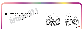iveryone has the right freely to participate in<br>the cultural life of the community, to enjoy the<br>d to share in scientific advancement and its<br>benefits" *Everyone has the right freely to participate in the cultural life of the community, to enjoy the arts and to share in scientific advancement and its benefits"*

Culture plays an important role in young people's socialization. We all carry a backpack full of culture. Therefore children's and young people's access to culture – both for understanding and influencing it – is important. Culture contributes to better mental and physical well-being.

The full realization of the Human Right to freely access cultural life however, is hindered and often threatened by the current alcohol culture in Europe. Almost all cultural and social events are alcoholised which always means that some groups of society, for example children from alcohol addicted families, young people who choose to live free from drugs and several religious groups, are being excluded. Their right to "freely participate in the cultural life" is being compromised for the sake of an omnipresent alcohol culture. In many of the products of Western

" 3 4

and European cultural life alcohol is being glamorised and depicted in a way that links social success to alcohol use. This social construction of alcohol in Europe threatens the rights of all young people to freely and selfdetermined participate in cultural life. The International Covenant on Economic, Social and Cultural Rights, Article 12 states that "everyone has the right to the enjoyment of the highest attainable standard of physical and mental health." In contradiction to the principle of that article and the UDHR the grown-up world is perpetuating an intoxicating culture that continues to cause tremendous harm to young people both physically and mentally. The old continent clearly can and should do more to enhance its cultural life for the sake of "the enjoyment of the highest attainable standard of physical and



3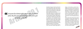Everyone has duties to the community in which<br>alone the free and full development of his personality is possible" *Everyone has duties to the community in which alone the free and full development of his personality is possible"* "

Everybody in Europe is familiar with the fact that it's permissible to talk, while intoxicated with alcohol, about behaviour that would otherwise be frowned upon. It's often even okay to actually do things when being drunk that are beyond norms and rules.

When people openly talk of behaviours and actions that normally are considered vicious or nasty, they contribute to making the socially unacceptable acceptable. What happens is that norms of decency and morale, that are important to the functioning and the well-being of all in the community, are being flouted. The alcohol culture allows alcohol to serve as excuse for otherwise socially unacceptable behaviour. Like that alcohol threatens the free and full development of young people's personality in the community. Moreover it is crucial to be aware of the myriad of social harm alcohol brings about in

All this clearly shows that the heavy alcohol consumption in Europe today threatens the development of personality of others – no matter whether they choose to drink or not. Communities in vast parts of Europe would function better and people in them would be able to live up to their "duties to the community" if alcohol consumption and culture were much less extreme.



Europe, to the society as a whole. The intangible social costs of alcohol, which describe the value people put on suffering and lost life, in the EU alone are estimated to be €270 Billion. In Europe, no matter if young people choose a lifestyle free from alcohol or not, you are made a passive drinker. In Estonia for instance 60-70% of violent crimes are linked to alcohol. And alcohol is a causal factor in 16% of child abuse and neglect.

3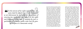In the exercise of his rights and freedoms, eve-<br>ryone shall be subject only to such limitations<br>determined by law solely for the purpose of<br>ing due recognition and respect for the rights<br>reedoms of others and of meeting t *In the exercise of his rights and freedoms, eve- ryone shall be subject only to such limitations as are determined by law solely for the purpose of securing due recognition and respect for the rights and freedoms of others and of meeting the just requirements of morality, public order and the gene- ral welfare in a democratic society"* "

All over the world and in all times of human history can we see impressive examples of taking risks and setting out on dangerous adventures and endeavours. Without them we wouldn't be able to fly over the Atlantic or to sale all around the world. Mountaineering, bungee jumping and many other forms of risky behaviour have become forms of cultural expression. However alcohol use, as we've seen in many examples above, harms millions of others than the user him/ herself. And young people in particular bear a disproportionate burden of the social harm of alcohol in Europe. In this context we need to be conscious about the question whether a specific human activity mainly is dangerous for the well-being of the individual or whether the activity threatens other people, too. Studies show that harm inflicted upon others is not merely a side problem but it is by far the most widespread problem related to

alcohol use. Social harm includes way more than violence, traffic accidents and children living with addicted parents. Alcohol harm is spread over a broad spectrum and can be found literally everywhere. Therefore it is essential to hold high article 29, 2 of the UDHR. The individual's right to freedom does not include the right to inflict harm upon others. This conviction can be found already in the French Declaration of Human Rights from 1789: "Liberty consists in being able to do anything that does not harm others." It cannot be called anything else but hypocritical that societies in Europe do regulate activities like driving a car, owning a weapon etc in order to protect the innocent, when at the same time the same societies build and perpetuate an alcohol culture that causes paramount pain and huge harm to Millions of children and young people. *All right?*

3

9

3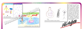



These pictures are outcomes of the drawing excercise carried out by Active member organisations. The theme for drawings was: "Weekend with my family". It is important to note, that alcohol topic had not been mentioned at all prior to the announcement of the theme and children were encouraged to draw freely anything they associate with a family weekend. The pictures we selected to publish on these pages are not statistically representative but show nevertheless the reality of many childhoods.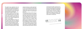This booklet shows emphatically that the availability, the affordability, the aggressive and specifically targeted marketing of alco hol in Europe amount to many threats and concrete violations of human rights negati vely affecting all young Europeans.

This disastrous situation in today's Europe, the heaviest drinking region in the world, is even multiplied by the current alcohol culture that is created by the grown up world and imposed upon children and young people. It's not a question "whether" but "when" to start drinking.

Alcohol is made omnipresent and they way this alcohol culture treats the substance couldn't be further apart from the scientific facts of its harmful and dangerous reality. The rights of children and young people are not met and often they are violated because the grown up world gives priority to selling

exercise their full rights as democratic citi zens. What does that say about Europe and the status of Human Rights for young people? One quarter of EU citizens say they abstai ned from alcohol in the past 12 months. A significant minority. If we do what Mahatma Gandhi said and judge the European "civili sation [...] by its treatment of minorities", what would our conclusion be?

alcohol and having a so-called "good time" of their own and because decision-makers do not do what the Best Interest of the child compels them to do and are blind to the circumstances millions of young Europeans grow up in.

*I have spread my dreams under your feet. Tread softly because you tread upon my dreams.* Sour feet. Tread softly be-<br>Cause you tread upon my dreams.



In Europe today it doesn't matter what your own position about alcohol is and whether you want to live a life free from alcohol and other drugs. Kofi Annan once said: "No one is born a good citizen; no nation is born a democracy. Rather, both are processes that continue to evolve over a lifetime. Young people must be included from birth." He gave expression to the spirit of the pream ble of the UDHR and in doing so showed Eu rope what the problem on the old continent still is: children and young people are made using alcohol, the socially most dangerous drug, years before they are able to vote and

4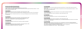#### The Convention of the Rights of the Child

www.unicef.org/crc & http://www.unicef.org/rightsite/ Compass. A manual on Human Rights Education with Young People, Council of Europe Dahlgren, Stephan & Stere, Roxana: The Right of Children to be protected from narcotic drugs and psychotropic substances – a human right/ international law perspective, 2009

#### UDHRA**rticl**e8

Anderson, Peter & Baumberg, Ben: Alcohol in Europe Report. A public health perspective, 2006 DAPHNE Programme: Prevent and combat violence against children, young people and women and to protect victims and groups at

#### risk

Fact Sheet: Reducing Harm in Drinking Environments http://www.ias.org.uk/buildingcapacity/resources/factsheets/dhs-drinkingenvironments.pdf

#### UDHRA**rticle 5**

Anderson, Peter & Baumberg, Ben: Alcohol in Europe Report. A public health perspective, 2006 Lindström, Mailn: Till synes helskinnad. Att växa upp i en familj med alkoholmissbruk, 1996 Bad Time Stories, published by Active – sobriety, friendship and peace, 2010

### UDHRAT**icle 168**

The Convention on the Rights of the Child, Article 19: parental and caregivers responsibility

# UDHRA**rticle** 1919

Anderson, Peter & Baumberg, Ben: Alcohol in Europe Report. A public health perspective, 2006 Monitoring report: alcohol portrayal in popular movies: www.eucam.info The Convention on the Rights of the Child, Article 17: Mass media

#### UDHRA**rticle 218**

Special Eurobarometer 331: EU citizens' attitudes towards alcohol, April 2010 http://ec.europa.eu/public\_opinion/archives/ebs/ ebs\_331\_en.pdf Dahlgren, Stephan & Stere, Roxana: The Right of Children to be protected from narcotic drugs and psychotropic substances – a human right/ international law perspective, 2009

# UDHR A**rticle 22**

The Swedish survey on Municipalities' effort of openness http://norran.se/nyheter/vasterbotten/article375361. ece?from=20100630130427 Anderson, Peter & Baumberg, Ben: Alcohol in Europe Report. A public health perspective, 2006

### UDHRA**rticle 24**

http://www.weisse-weihnacht.eu/ Lindström, Mailn: Till synes helskinnad. Att växa upp i en familj med alkoholmissbruk, 1996

#### UDHRA**rticle 251**

Anderson, Peter & Baumberg, Ben: Alcohol in Europe Report. A public health perspective, 2006 Lunarstorm survey among 2352 Children and young people: http://unf.se/Media/Pressmeddelanden/Vart-fjarde-barn-har-kant-obehagunder-julen---orsaken-ar-fulla-vuxna/

Wichstrom, Lars: Alcohol intoxication and school dropout: http://informahealthcare.com/doi/abs/10.1080/09595239800187251 School Dropouts - Extent of the Problem, Factors Associated with Early School Leaving, Dropout Prevention Programs and Their Effects http://education.stateuniversity.com/pages/1921/Dropouts-School.html The Convention of the Right of the Child, Article 29: education to prepare children for responsible life German Centre for drug addiction, DHS: fact sheet – "Alkohol und Jugendliche"

4

5

# UDHRA**rticle 261**

4

4

#### References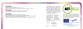#### UDHR A**rticle** 2761

Fake Free prevention project www.fakefree.se Monitoring report: alcohol portrayal in popular movies: www.eucam.info International Covenant on Economic, Social and Cultural Rights http://www2.ohchr.org/english/law/cescr.htm

### UDHRAT**icle 291**

Anderson, Peter & Baumberg, Ben: Alcohol in Europe Report. A public health perspective, 2006 Baklien, Bergiljot & Samarasinghe, Diyanath: Alcohol and Poverty in Sri Lanka, 2003

### UDHR A**rticle 2020**

Fekjaer, Hans Olav: Passive drinking – the collateral damage from alcohol, 2010 Anderson, Peter & Baumberg, Ben: Alcohol in Europe Report. A public health perspective, 2006 Klingemann, Harald: Alcohol and its social consequences – the forgotten dimension, WHO Regional Office for Europe, 2001 Nutt, David et al.: Drug harms in the UK: A multicriteria decision analysis, 2010 "Declaration of the Rights of Man and of the Citizen", 1789 http://www.magnacartaplus.org/french-rights/1789.htm

- Final text: Maik Duennbier Kristina Sperkova
- Layout: Kristina Sperkova

#### Thank you!

This booklet is an outcome of Active's campaign "All Rights" aimed at raising awareness about violation of human rights in European households. Most of the input for the booklet was gathered and discussed during our training for trainers in May 2010. To following persons participated in the training and contributed to the content:

Alexandra Stamenova Marina Cuzmina Lucia Juskanicova Henri Reha Kristine Zamurajeva Fatih Tekin Volodymyr Kreydenko Rosi Siedelberg Alari Rajande Sanja Stojanovska We would like to thank and express our appreciation for their work.

> The All Rights campaign is financially supported bu DG EAC under the program "Youth in Action"

4

7

# **Culture Programme**

4

6

Active is a non - governmental organisation gathering European youth temperance organisations working for a democratic, diverse and peaceful world free from alcohol and other drugs where an individuals can live up to their full potential.



**ACTI** 



**Education and Culture DG**